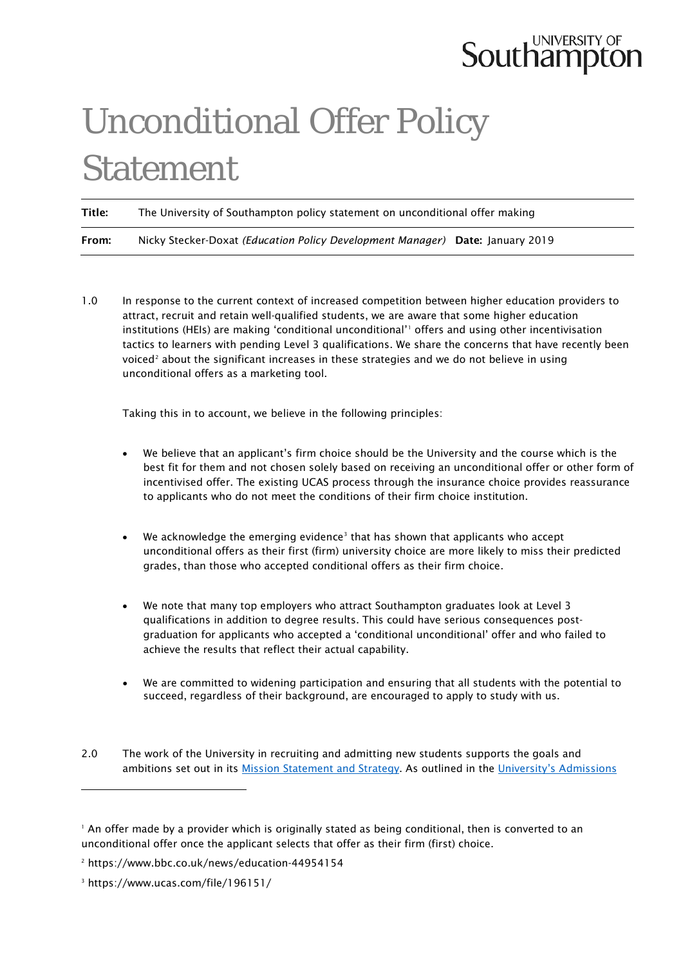## **Southampton**

## Unconditional Offer Policy Statement

Title: The University of Southampton policy statement on unconditional offer making From: Nicky Stecker-Doxat *(Education Policy Development Manager)* Date: January 2019

1.0 In response to the current context of increased competition between higher education providers to attract, recruit and retain well-qualified students, we are aware that some higher education institutions (HEIs) are making 'conditional unconditional'<sup>[1](#page-0-0)</sup> offers and using other incentivisation tactics to learners with pending Level 3 qualifications. We share the concerns that have recently been voiced<sup>2</sup> about the significant increases in these strategies and we do not believe in using unconditional offers as a marketing tool.

Taking this in to account, we believe in the following principles:

- We believe that an applicant's firm choice should be the University and the course which is the best fit for them and not chosen solely based on receiving an unconditional offer or other form of incentivised offer. The existing UCAS process through the insurance choice provides reassurance to applicants who do not meet the conditions of their firm choice institution.
- We acknowledge the emerging evidence<sup>[3](#page-0-2)</sup> that has shown that applicants who accept unconditional offers as their first (firm) university choice are more likely to miss their predicted grades, than those who accepted conditional offers as their firm choice.
- We note that many top employers who attract Southampton graduates look at Level 3 qualifications in addition to degree results. This could have serious consequences postgraduation for applicants who accepted a 'conditional unconditional' offer and who failed to achieve the results that reflect their actual capability.
- We are committed to widening participation and ensuring that all students with the potential to succeed, regardless of their background, are encouraged to apply to study with us.

-

<sup>2.0</sup> The work of the University in recruiting and admitting new students supports the goals and ambitions set out in its [Mission Statement and Strategy.](https://www.southampton.ac.uk/about/strategy.page) As outlined in the University's Admissions

<span id="page-0-0"></span><sup>&</sup>lt;sup>1</sup> An offer made by a provider which is originally stated as being conditional, then is converted to an unconditional offer once the applicant selects that offer as their firm (first) choice.

<span id="page-0-1"></span><sup>2</sup> https://www.bbc.co.uk/news/education-44954154

<span id="page-0-2"></span><sup>3</sup> https://www.ucas.com/file/196151/